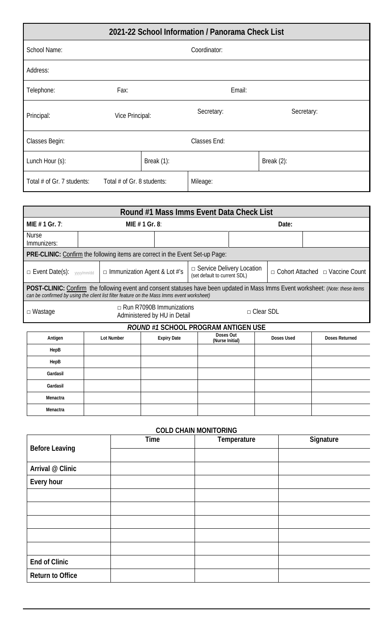| 2021-22 School Information / Panorama Check List |                            |               |            |  |               |
|--------------------------------------------------|----------------------------|---------------|------------|--|---------------|
| School Name:                                     | Coordinator:               |               |            |  |               |
| Address:                                         |                            |               |            |  |               |
| Telephone:                                       | Fax:                       |               | Email:     |  |               |
| Principal:                                       | Vice Principal:            |               | Secretary: |  | Secretary:    |
| Classes Begin:                                   | Classes End:               |               |            |  |               |
| Lunch Hour (s):                                  |                            | Break $(1)$ : |            |  | Break $(2)$ : |
| Total # of Gr. 7 students:                       | Total # of Gr. 8 students: |               | Mileage:   |  |               |

| Round #1 Mass Imms Event Data Check List                                                                                                                                                                                              |                                                                                     |                                                                                                         |                    |                             |  |            |                                             |                       |
|---------------------------------------------------------------------------------------------------------------------------------------------------------------------------------------------------------------------------------------|-------------------------------------------------------------------------------------|---------------------------------------------------------------------------------------------------------|--------------------|-----------------------------|--|------------|---------------------------------------------|-----------------------|
| MIE $# 1$ Gr. 7:                                                                                                                                                                                                                      | MIE $# 1$ Gr. 8:                                                                    |                                                                                                         |                    | Date:                       |  |            |                                             |                       |
| <b>Nurse</b><br>Immunizers:                                                                                                                                                                                                           |                                                                                     |                                                                                                         |                    |                             |  |            |                                             |                       |
| PRE-CLINIC: Confirm the following items are correct in the Event Set-up Page:                                                                                                                                                         |                                                                                     |                                                                                                         |                    |                             |  |            |                                             |                       |
| D Event Date(s): yyyy/mm/dd                                                                                                                                                                                                           |                                                                                     | $\Box$ Service Delivery Location<br>$\Box$ Immunization Agent & Lot #'s<br>(set default to current SDL) |                    |                             |  |            | $\Box$ Cohort Attached $\Box$ Vaccine Count |                       |
| <b>POST-CLINIC:</b> Confirm the following event and consent statuses have been updated in Mass Imms Event worksheet: (Note: these items<br>can be confirmed by using the client list filter feature on the Mass Imms event worksheet) |                                                                                     |                                                                                                         |                    |                             |  |            |                                             |                       |
| $\Box$ Wastage                                                                                                                                                                                                                        | $\Box$ Run R7090B Immunizations<br>$\Box$ Clear SDL<br>Administered by HU in Detail |                                                                                                         |                    |                             |  |            |                                             |                       |
| ROUND #1 SCHOOL PROGRAM ANTIGEN USE                                                                                                                                                                                                   |                                                                                     |                                                                                                         |                    |                             |  |            |                                             |                       |
| Antigen                                                                                                                                                                                                                               |                                                                                     | Lot Number                                                                                              | <b>Expiry Date</b> | Doses Out<br>$M2$ $m1$ $m1$ |  | Doses Used |                                             | <b>Doses Returned</b> |

| Antigen  | Lot Number | <b>Expiry Date</b> | <b>DUJUJ UUL</b><br>(Nurse Initial) | Doses Used | Doses Returned |
|----------|------------|--------------------|-------------------------------------|------------|----------------|
| HepB     |            |                    |                                     |            |                |
| HepB     |            |                    |                                     |            |                |
| Gardasil |            |                    |                                     |            |                |
| Gardasil |            |                    |                                     |            |                |
| Menactra |            |                    |                                     |            |                |
| Menactra |            |                    |                                     |            |                |

## **COLD CHAIN MONITORING**

|                         | Time | Temperature | Signature |
|-------------------------|------|-------------|-----------|
| <b>Before Leaving</b>   |      |             |           |
| Arrival @ Clinic        |      |             |           |
| Every hour              |      |             |           |
|                         |      |             |           |
|                         |      |             |           |
|                         |      |             |           |
|                         |      |             |           |
|                         |      |             |           |
| End of Clinic           |      |             |           |
| <b>Return to Office</b> |      |             |           |